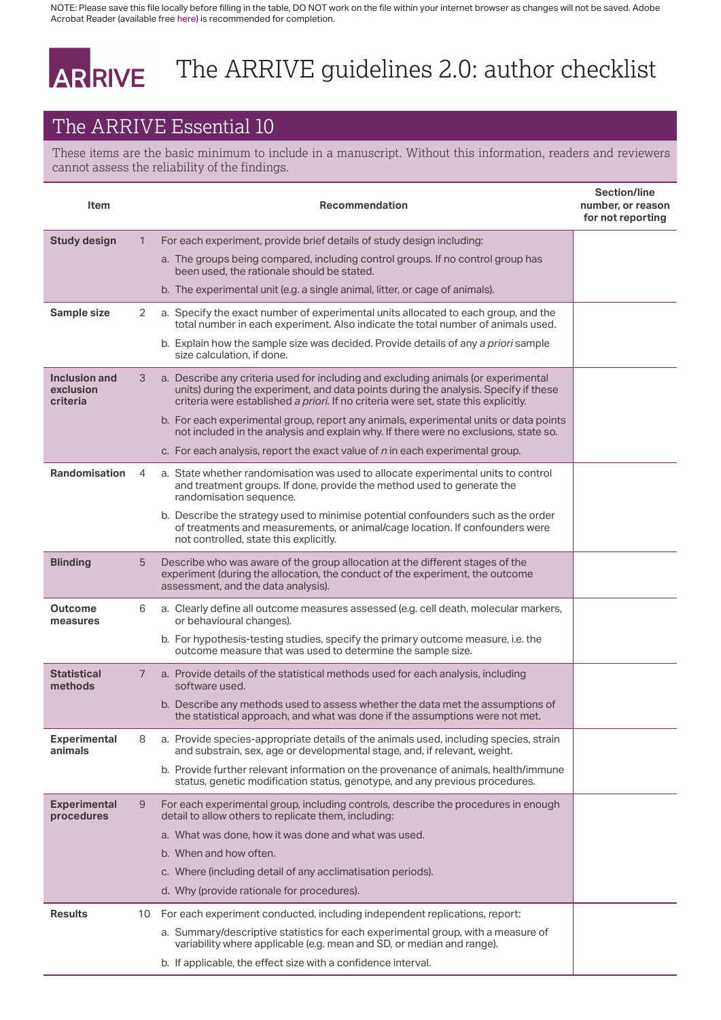NOTE: Please save this file locally before filling in the table, DO NOT work on the file within your internet browser as changes will not be saved. Adobe Acrobat Reader (available free [here\)](https://acrobat.adobe.com/uk/en/acrobat/pdf-reader.html) is recommended for completion.

## The ARRIVE guidelines 2.0: author checklist ARRIVE

## The ARRIVE Essential 10

These items are the basic minimum to include in a manuscript. Without this information, readers and reviewers cannot assess the reliability of the findings.

| Item                                   |    | Recommendation                                                                                                                                                                                                                                                   | <b>Section/line</b><br>number, or reason<br>for not reporting |
|----------------------------------------|----|------------------------------------------------------------------------------------------------------------------------------------------------------------------------------------------------------------------------------------------------------------------|---------------------------------------------------------------|
| <b>Study design</b>                    | 1  | For each experiment, provide brief details of study design including:                                                                                                                                                                                            |                                                               |
|                                        |    | a. The groups being compared, including control groups. If no control group has<br>been used, the rationale should be stated.                                                                                                                                    |                                                               |
|                                        |    | b. The experimental unit (e.g. a single animal, litter, or cage of animals).                                                                                                                                                                                     |                                                               |
| Sample size                            | 2  | a. Specify the exact number of experimental units allocated to each group, and the<br>total number in each experiment. Also indicate the total number of animals used.                                                                                           |                                                               |
|                                        |    | b. Explain how the sample size was decided. Provide details of any a priori sample<br>size calculation, if done.                                                                                                                                                 |                                                               |
| Inclusion and<br>exclusion<br>criteria | 3  | a. Describe any criteria used for including and excluding animals (or experimental<br>units) during the experiment, and data points during the analysis. Specify if these<br>criteria were established a priori. If no criteria were set, state this explicitly. |                                                               |
|                                        |    | b. For each experimental group, report any animals, experimental units or data points<br>not included in the analysis and explain why. If there were no exclusions, state so.                                                                                    |                                                               |
|                                        |    | c. For each analysis, report the exact value of $n$ in each experimental group.                                                                                                                                                                                  |                                                               |
| <b>Randomisation</b>                   | 4  | a. State whether randomisation was used to allocate experimental units to control<br>and treatment groups. If done, provide the method used to generate the<br>randomisation sequence.                                                                           |                                                               |
|                                        |    | b. Describe the strategy used to minimise potential confounders such as the order<br>of treatments and measurements, or animal/cage location. If confounders were<br>not controlled, state this explicitly.                                                      |                                                               |
| <b>Blinding</b>                        | 5  | Describe who was aware of the group allocation at the different stages of the<br>experiment (during the allocation, the conduct of the experiment, the outcome<br>assessment, and the data analysis).                                                            |                                                               |
| Outcome<br>measures                    | 6  | a. Clearly define all outcome measures assessed (e.g. cell death, molecular markers,<br>or behavioural changes).                                                                                                                                                 |                                                               |
|                                        |    | b. For hypothesis-testing studies, specify the primary outcome measure, i.e. the<br>outcome measure that was used to determine the sample size.                                                                                                                  |                                                               |
| <b>Statistical</b><br>methods          | 7  | a. Provide details of the statistical methods used for each analysis, including<br>software used.                                                                                                                                                                |                                                               |
|                                        |    | b. Describe any methods used to assess whether the data met the assumptions of<br>the statistical approach, and what was done if the assumptions were not met.                                                                                                   |                                                               |
| <b>Experimental</b><br>animals         | 8  | a. Provide species-appropriate details of the animals used, including species, strain<br>and substrain, sex, age or developmental stage, and, if relevant, weight.                                                                                               |                                                               |
|                                        |    | b. Provide further relevant information on the provenance of animals, health/immune<br>status, genetic modification status, genotype, and any previous procedures.                                                                                               |                                                               |
| <b>Experimental</b><br>procedures      | 9  | For each experimental group, including controls, describe the procedures in enough<br>detail to allow others to replicate them, including:                                                                                                                       |                                                               |
|                                        |    | a. What was done, how it was done and what was used.                                                                                                                                                                                                             |                                                               |
|                                        |    | b. When and how often.                                                                                                                                                                                                                                           |                                                               |
|                                        |    | c. Where (including detail of any acclimatisation periods).                                                                                                                                                                                                      |                                                               |
|                                        |    | d. Why (provide rationale for procedures).                                                                                                                                                                                                                       |                                                               |
| <b>Results</b>                         | 10 | For each experiment conducted, including independent replications, report:                                                                                                                                                                                       |                                                               |
|                                        |    | a. Summary/descriptive statistics for each experimental group, with a measure of<br>variability where applicable (e.g. mean and SD, or median and range).                                                                                                        |                                                               |
|                                        |    | b. If applicable, the effect size with a confidence interval.                                                                                                                                                                                                    |                                                               |